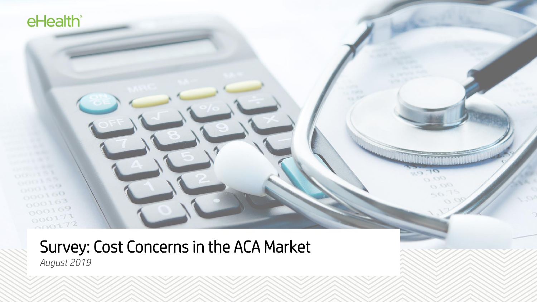# Survey: Cost Concerns in the ACA Market *August 2019*

 $0.00$ 

 $\mathcal{L}_{\infty}$  (

 $O$   $O<sub>l</sub>$ 

eHealth<sup>®</sup>

 $000150$ 

 $000100$ 

 $000163$  $000169$ 

000171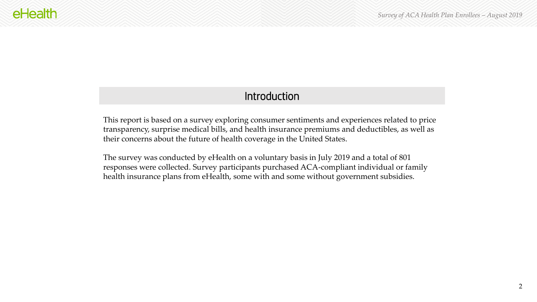## **Introduction**

This report is based on a survey exploring consumer sentiments and experiences related to price transparency, surprise medical bills, and health insurance premiums and deductibles, as well as their concerns about the future of health coverage in the United States.

The survey was conducted by eHealth on a voluntary basis in July 2019 and a total of 801 responses were collected. Survey participants purchased ACA-compliant individual or family health insurance plans from eHealth, some with and some without government subsidies.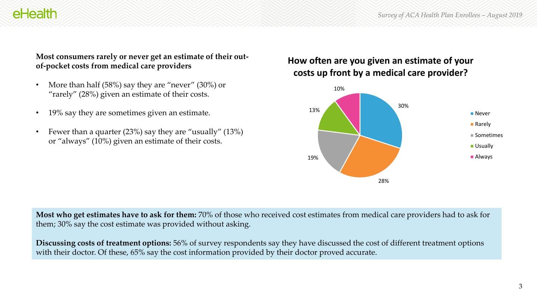#### **Most consumers rarely or never get an estimate of their outof-pocket costs from medical care providers**

- More than half (58%) say they are "never" (30%) or "rarely" (28%) given an estimate of their costs.
- 19% say they are sometimes given an estimate.
- Fewer than a quarter (23%) say they are "usually" (13%) or "always" (10%) given an estimate of their costs.

## **How often are you given an estimate of your costs up front by a medical care provider?**



**Most who get estimates have to ask for them:** 70% of those who received cost estimates from medical care providers had to ask for them; 30% say the cost estimate was provided without asking.

**Discussing costs of treatment options:** 56% of survey respondents say they have discussed the cost of different treatment options with their doctor. Of these, 65% say the cost information provided by their doctor proved accurate.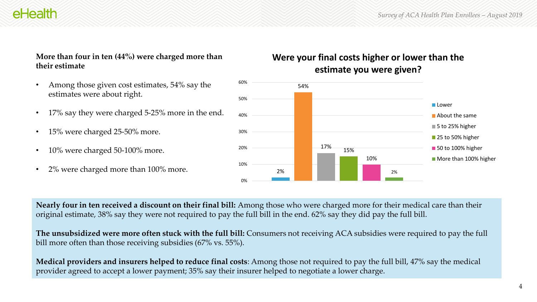#### **More than four in ten (44%) were charged more than their estimate**

- Among those given cost estimates, 54% say the estimates were about right.
- 17% say they were charged 5-25% more in the end.
- 15% were charged 25-50% more.
- 10% were charged 50-100% more.
- 2% were charged more than 100% more.

## **Were your final costs higher or lower than the estimate you were given?**



**Nearly four in ten received a discount on their final bill:** Among those who were charged more for their medical care than their original estimate, 38% say they were not required to pay the full bill in the end. 62% say they did pay the full bill.

**The unsubsidized were more often stuck with the full bill:** Consumers not receiving ACA subsidies were required to pay the full bill more often than those receiving subsidies (67% vs. 55%).

**Medical providers and insurers helped to reduce final costs**: Among those not required to pay the full bill, 47% say the medical provider agreed to accept a lower payment; 35% say their insurer helped to negotiate a lower charge.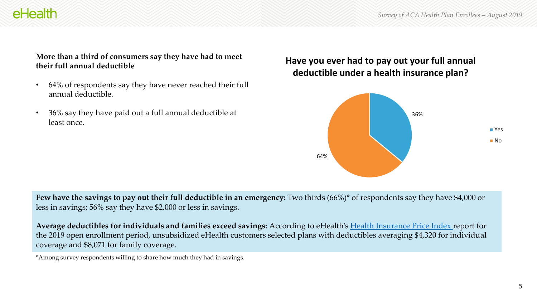# **AHAAlth**

#### **More than a third of consumers say they have had to meet their full annual deductible**

- 64% of respondents say they have never reached their full annual deductible.
- 36% say they have paid out a full annual deductible at least once.

## **Have you ever had to pay out your full annual deductible under a health insurance plan?**



**Few have the savings to pay out their full deductible in an emergency:** Two thirds (66%)\* of respondents say they have \$4,000 or less in savings; 56% say they have \$2,000 or less in savings.

**Average deductibles for individuals and families exceed savings:** According to eHealth's [Health Insurance Price Index r](https://news.ehealthinsurance.com/_ir/68/20196/Health_Insurance_Index_Report_ACA_2019.pdf)eport for the 2019 open enrollment period, unsubsidized eHealth customers selected plans with deductibles averaging \$4,320 for individual coverage and \$8,071 for family coverage.

\*Among survey respondents willing to share how much they had in savings.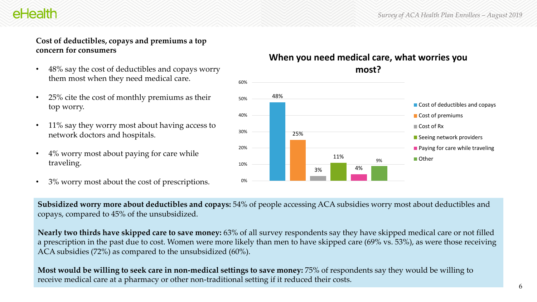### **Cost of deductibles, copays and premiums a top concern for consumers**

- 48% say the cost of deductibles and copays worry them most when they need medical care.
- 25% cite the cost of monthly premiums as their top worry.
- 11% say they worry most about having access to network doctors and hospitals.
- 4% worry most about paying for care while traveling.
- 3% worry most about the cost of prescriptions.

## **When you need medical care, what worries you most?**



**Subsidized worry more about deductibles and copays:** 54% of people accessing ACA subsidies worry most about deductibles and copays, compared to 45% of the unsubsidized.

**Nearly two thirds have skipped care to save money:** 63% of all survey respondents say they have skipped medical care or not filled a prescription in the past due to cost. Women were more likely than men to have skipped care (69% vs. 53%), as were those receiving ACA subsidies (72%) as compared to the unsubsidized (60%).

**Most would be willing to seek care in non-medical settings to save money:** 75% of respondents say they would be willing to receive medical care at a pharmacy or other non-traditional setting if it reduced their costs.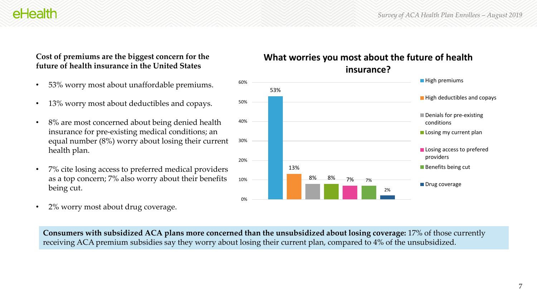#### **Cost of premiums are the biggest concern for the future of health insurance in the United States**

- 53% worry most about unaffordable premiums.
- 13% worry most about deductibles and copays.
- 8% are most concerned about being denied health insurance for pre-existing medical conditions; an equal number (8%) worry about losing their current health plan.
- 7% cite losing access to preferred medical providers as a top concern; 7% also worry about their benefits being cut.
- 2% worry most about drug coverage.



**What worries you most about the future of health insurance?**

**Consumers with subsidized ACA plans more concerned than the unsubsidized about losing coverage:** 17% of those currently receiving ACA premium subsidies say they worry about losing their current plan, compared to 4% of the unsubsidized.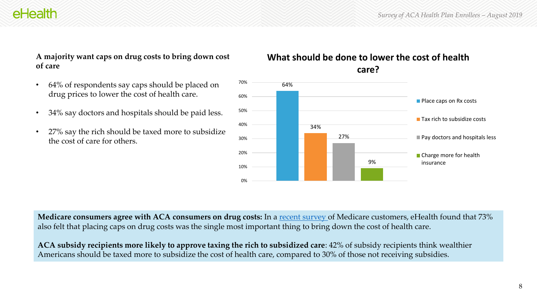#### **A majority want caps on drug costs to bring down cost of care**

- 64% of respondents say caps should be placed on drug prices to lower the cost of health care.
- 34% say doctors and hospitals should be paid less.
- 27% say the rich should be taxed more to subsidize the cost of care for others.





**Medicare consumers agree with ACA consumers on drug costs:** In a [recent survey](https://news.ehealthinsurance.com/_ir/68/20191/eHealth%20Medicare%20Consumer%20Survey%20February%202019.pdf) of Medicare customers, eHealth found that 73% also felt that placing caps on drug costs was the single most important thing to bring down the cost of health care.

**ACA subsidy recipients more likely to approve taxing the rich to subsidized care**: 42% of subsidy recipients think wealthier Americans should be taxed more to subsidize the cost of health care, compared to 30% of those not receiving subsidies.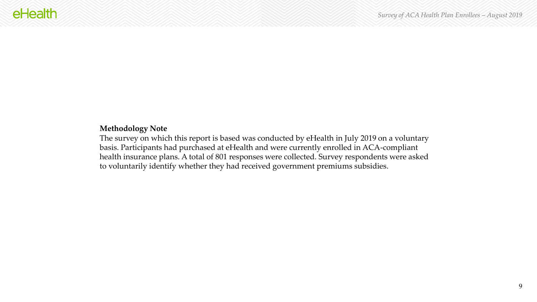## **Methodology Note**

The survey on which this report is based was conducted by eHealth in July 2019 on a voluntary basis. Participants had purchased at eHealth and were currently enrolled in ACA-compliant health insurance plans. A total of 801 responses were collected. Survey respondents were asked to voluntarily identify whether they had received government premiums subsidies.